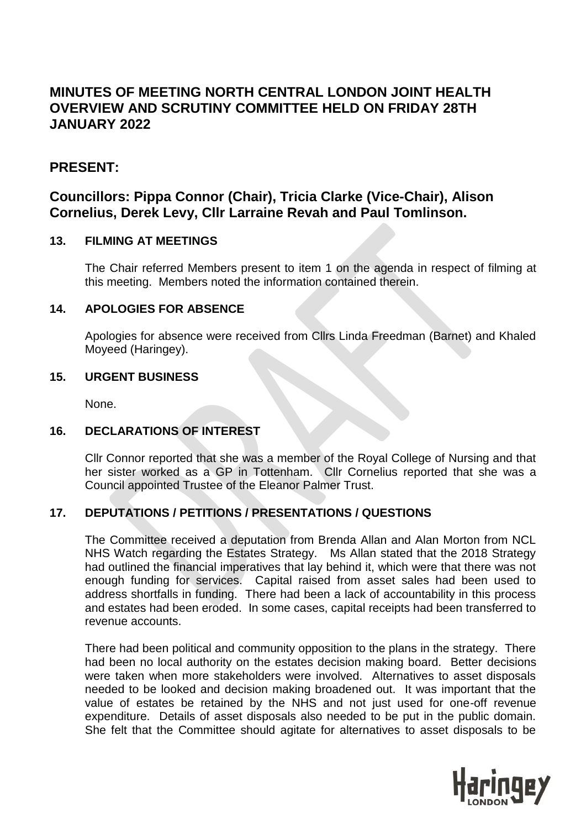# **MINUTES OF MEETING NORTH CENTRAL LONDON JOINT HEALTH OVERVIEW AND SCRUTINY COMMITTEE HELD ON FRIDAY 28TH JANUARY 2022**

# **PRESENT:**

# **Councillors: Pippa Connor (Chair), Tricia Clarke (Vice-Chair), Alison Cornelius, Derek Levy, Cllr Larraine Revah and Paul Tomlinson.**

# **13. FILMING AT MEETINGS**

The Chair referred Members present to item 1 on the agenda in respect of filming at this meeting. Members noted the information contained therein.

# **14. APOLOGIES FOR ABSENCE**

Apologies for absence were received from Cllrs Linda Freedman (Barnet) and Khaled Moyeed (Haringey).

# **15. URGENT BUSINESS**

None.

# **16. DECLARATIONS OF INTEREST**

Cllr Connor reported that she was a member of the Royal College of Nursing and that her sister worked as a GP in Tottenham. Cllr Cornelius reported that she was a Council appointed Trustee of the Eleanor Palmer Trust.

# **17. DEPUTATIONS / PETITIONS / PRESENTATIONS / QUESTIONS**

The Committee received a deputation from Brenda Allan and Alan Morton from NCL NHS Watch regarding the Estates Strategy. Ms Allan stated that the 2018 Strategy had outlined the financial imperatives that lay behind it, which were that there was not enough funding for services. Capital raised from asset sales had been used to address shortfalls in funding. There had been a lack of accountability in this process and estates had been eroded. In some cases, capital receipts had been transferred to revenue accounts.

There had been political and community opposition to the plans in the strategy. There had been no local authority on the estates decision making board. Better decisions were taken when more stakeholders were involved. Alternatives to asset disposals needed to be looked and decision making broadened out. It was important that the value of estates be retained by the NHS and not just used for one-off revenue expenditure. Details of asset disposals also needed to be put in the public domain. She felt that the Committee should agitate for alternatives to asset disposals to be

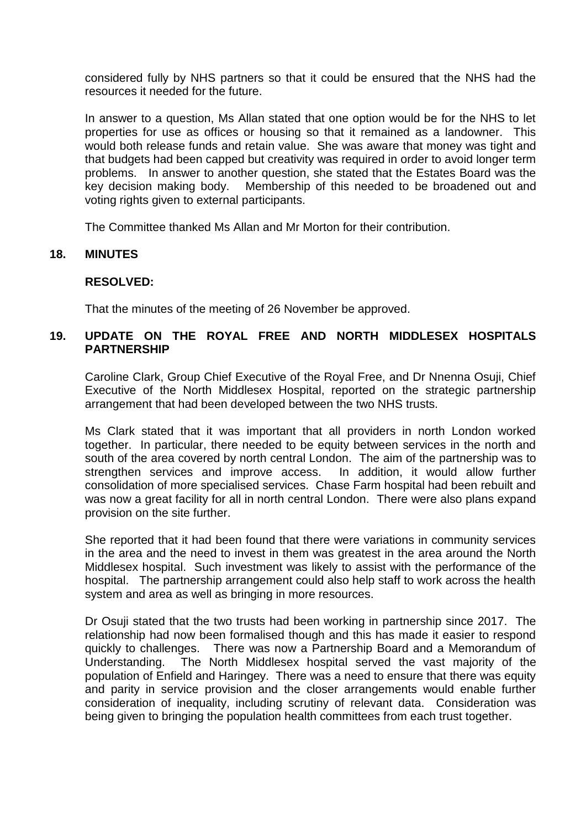considered fully by NHS partners so that it could be ensured that the NHS had the resources it needed for the future.

In answer to a question, Ms Allan stated that one option would be for the NHS to let properties for use as offices or housing so that it remained as a landowner. This would both release funds and retain value. She was aware that money was tight and that budgets had been capped but creativity was required in order to avoid longer term problems. In answer to another question, she stated that the Estates Board was the key decision making body. Membership of this needed to be broadened out and voting rights given to external participants.

The Committee thanked Ms Allan and Mr Morton for their contribution.

#### **18. MINUTES**

#### **RESOLVED:**

That the minutes of the meeting of 26 November be approved.

#### **19. UPDATE ON THE ROYAL FREE AND NORTH MIDDLESEX HOSPITALS PARTNERSHIP**

Caroline Clark, Group Chief Executive of the Royal Free, and Dr Nnenna Osuji, Chief Executive of the North Middlesex Hospital, reported on the strategic partnership arrangement that had been developed between the two NHS trusts.

Ms Clark stated that it was important that all providers in north London worked together. In particular, there needed to be equity between services in the north and south of the area covered by north central London. The aim of the partnership was to strengthen services and improve access. In addition, it would allow further consolidation of more specialised services. Chase Farm hospital had been rebuilt and was now a great facility for all in north central London. There were also plans expand provision on the site further.

She reported that it had been found that there were variations in community services in the area and the need to invest in them was greatest in the area around the North Middlesex hospital. Such investment was likely to assist with the performance of the hospital. The partnership arrangement could also help staff to work across the health system and area as well as bringing in more resources.

Dr Osuji stated that the two trusts had been working in partnership since 2017. The relationship had now been formalised though and this has made it easier to respond quickly to challenges. There was now a Partnership Board and a Memorandum of Understanding. The North Middlesex hospital served the vast majority of the population of Enfield and Haringey. There was a need to ensure that there was equity and parity in service provision and the closer arrangements would enable further consideration of inequality, including scrutiny of relevant data. Consideration was being given to bringing the population health committees from each trust together.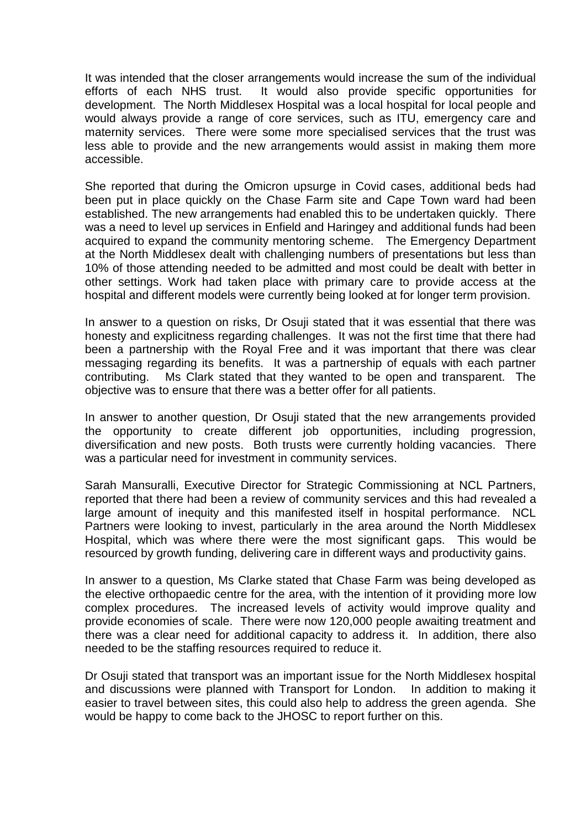It was intended that the closer arrangements would increase the sum of the individual efforts of each NHS trust. It would also provide specific opportunities for development. The North Middlesex Hospital was a local hospital for local people and would always provide a range of core services, such as ITU, emergency care and maternity services. There were some more specialised services that the trust was less able to provide and the new arrangements would assist in making them more accessible.

She reported that during the Omicron upsurge in Covid cases, additional beds had been put in place quickly on the Chase Farm site and Cape Town ward had been established. The new arrangements had enabled this to be undertaken quickly. There was a need to level up services in Enfield and Haringey and additional funds had been acquired to expand the community mentoring scheme. The Emergency Department at the North Middlesex dealt with challenging numbers of presentations but less than 10% of those attending needed to be admitted and most could be dealt with better in other settings. Work had taken place with primary care to provide access at the hospital and different models were currently being looked at for longer term provision.

In answer to a question on risks, Dr Osuji stated that it was essential that there was honesty and explicitness regarding challenges. It was not the first time that there had been a partnership with the Royal Free and it was important that there was clear messaging regarding its benefits. It was a partnership of equals with each partner contributing. Ms Clark stated that they wanted to be open and transparent. The objective was to ensure that there was a better offer for all patients.

In answer to another question, Dr Osuji stated that the new arrangements provided the opportunity to create different job opportunities, including progression, diversification and new posts. Both trusts were currently holding vacancies. There was a particular need for investment in community services.

Sarah Mansuralli, Executive Director for Strategic Commissioning at NCL Partners, reported that there had been a review of community services and this had revealed a large amount of inequity and this manifested itself in hospital performance. NCL Partners were looking to invest, particularly in the area around the North Middlesex Hospital, which was where there were the most significant gaps. This would be resourced by growth funding, delivering care in different ways and productivity gains.

In answer to a question, Ms Clarke stated that Chase Farm was being developed as the elective orthopaedic centre for the area, with the intention of it providing more low complex procedures. The increased levels of activity would improve quality and provide economies of scale. There were now 120,000 people awaiting treatment and there was a clear need for additional capacity to address it. In addition, there also needed to be the staffing resources required to reduce it.

Dr Osuji stated that transport was an important issue for the North Middlesex hospital and discussions were planned with Transport for London. In addition to making it easier to travel between sites, this could also help to address the green agenda. She would be happy to come back to the JHOSC to report further on this.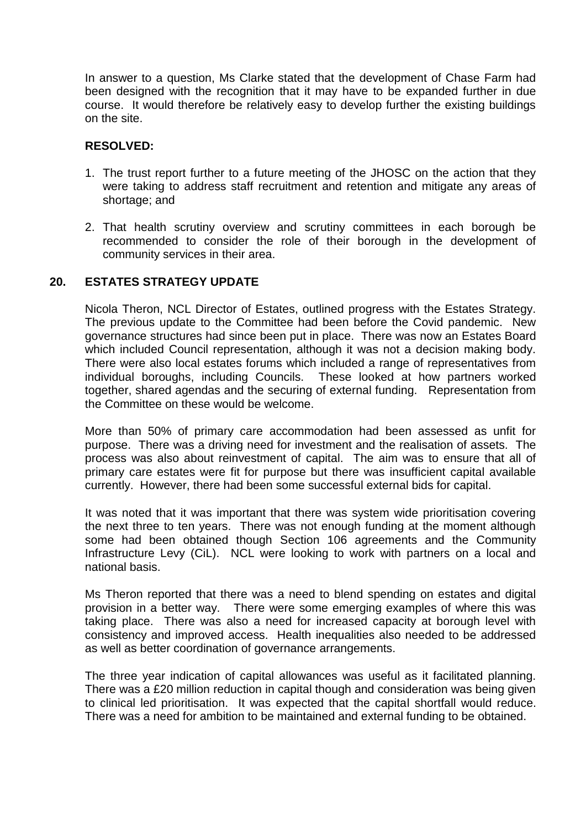In answer to a question, Ms Clarke stated that the development of Chase Farm had been designed with the recognition that it may have to be expanded further in due course. It would therefore be relatively easy to develop further the existing buildings on the site.

# **RESOLVED:**

- 1. The trust report further to a future meeting of the JHOSC on the action that they were taking to address staff recruitment and retention and mitigate any areas of shortage; and
- 2. That health scrutiny overview and scrutiny committees in each borough be recommended to consider the role of their borough in the development of community services in their area.

#### **20. ESTATES STRATEGY UPDATE**

Nicola Theron, NCL Director of Estates, outlined progress with the Estates Strategy. The previous update to the Committee had been before the Covid pandemic. New governance structures had since been put in place. There was now an Estates Board which included Council representation, although it was not a decision making body. There were also local estates forums which included a range of representatives from individual boroughs, including Councils. These looked at how partners worked together, shared agendas and the securing of external funding. Representation from the Committee on these would be welcome.

More than 50% of primary care accommodation had been assessed as unfit for purpose. There was a driving need for investment and the realisation of assets. The process was also about reinvestment of capital. The aim was to ensure that all of primary care estates were fit for purpose but there was insufficient capital available currently. However, there had been some successful external bids for capital.

It was noted that it was important that there was system wide prioritisation covering the next three to ten years. There was not enough funding at the moment although some had been obtained though Section 106 agreements and the Community Infrastructure Levy (CiL). NCL were looking to work with partners on a local and national basis.

Ms Theron reported that there was a need to blend spending on estates and digital provision in a better way. There were some emerging examples of where this was taking place. There was also a need for increased capacity at borough level with consistency and improved access. Health inequalities also needed to be addressed as well as better coordination of governance arrangements.

The three year indication of capital allowances was useful as it facilitated planning. There was a £20 million reduction in capital though and consideration was being given to clinical led prioritisation. It was expected that the capital shortfall would reduce. There was a need for ambition to be maintained and external funding to be obtained.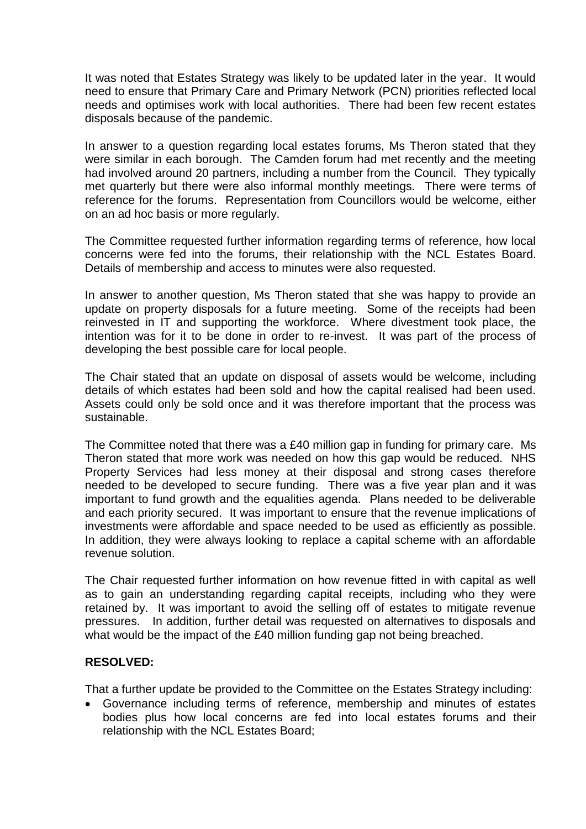It was noted that Estates Strategy was likely to be updated later in the year. It would need to ensure that Primary Care and Primary Network (PCN) priorities reflected local needs and optimises work with local authorities. There had been few recent estates disposals because of the pandemic.

In answer to a question regarding local estates forums, Ms Theron stated that they were similar in each borough. The Camden forum had met recently and the meeting had involved around 20 partners, including a number from the Council. They typically met quarterly but there were also informal monthly meetings. There were terms of reference for the forums. Representation from Councillors would be welcome, either on an ad hoc basis or more regularly.

The Committee requested further information regarding terms of reference, how local concerns were fed into the forums, their relationship with the NCL Estates Board. Details of membership and access to minutes were also requested.

In answer to another question, Ms Theron stated that she was happy to provide an update on property disposals for a future meeting. Some of the receipts had been reinvested in IT and supporting the workforce. Where divestment took place, the intention was for it to be done in order to re-invest. It was part of the process of developing the best possible care for local people.

The Chair stated that an update on disposal of assets would be welcome, including details of which estates had been sold and how the capital realised had been used. Assets could only be sold once and it was therefore important that the process was sustainable.

The Committee noted that there was a £40 million gap in funding for primary care. Ms Theron stated that more work was needed on how this gap would be reduced. NHS Property Services had less money at their disposal and strong cases therefore needed to be developed to secure funding. There was a five year plan and it was important to fund growth and the equalities agenda. Plans needed to be deliverable and each priority secured. It was important to ensure that the revenue implications of investments were affordable and space needed to be used as efficiently as possible. In addition, they were always looking to replace a capital scheme with an affordable revenue solution.

The Chair requested further information on how revenue fitted in with capital as well as to gain an understanding regarding capital receipts, including who they were retained by. It was important to avoid the selling off of estates to mitigate revenue pressures. In addition, further detail was requested on alternatives to disposals and what would be the impact of the £40 million funding gap not being breached.

# **RESOLVED:**

That a further update be provided to the Committee on the Estates Strategy including:

 Governance including terms of reference, membership and minutes of estates bodies plus how local concerns are fed into local estates forums and their relationship with the NCL Estates Board;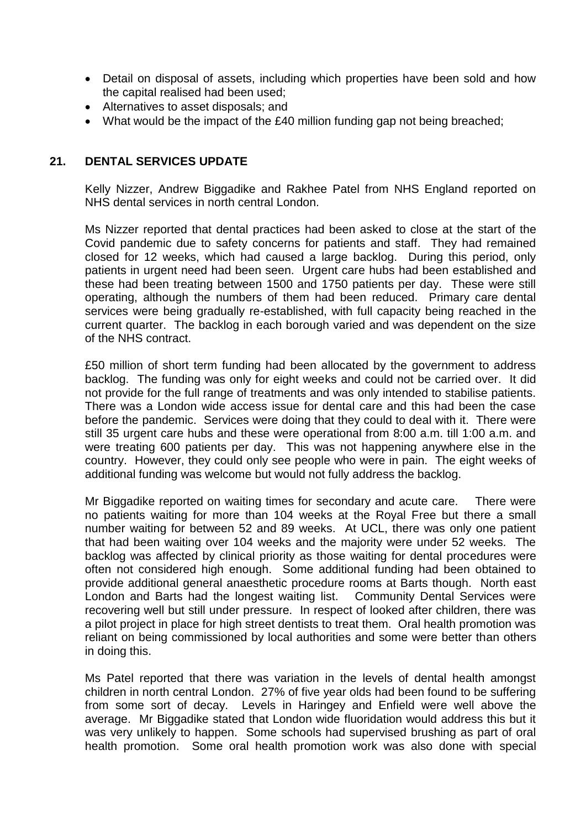- Detail on disposal of assets, including which properties have been sold and how the capital realised had been used;
- Alternatives to asset disposals; and
- What would be the impact of the £40 million funding gap not being breached;

# **21. DENTAL SERVICES UPDATE**

Kelly Nizzer, Andrew Biggadike and Rakhee Patel from NHS England reported on NHS dental services in north central London.

Ms Nizzer reported that dental practices had been asked to close at the start of the Covid pandemic due to safety concerns for patients and staff. They had remained closed for 12 weeks, which had caused a large backlog. During this period, only patients in urgent need had been seen. Urgent care hubs had been established and these had been treating between 1500 and 1750 patients per day. These were still operating, although the numbers of them had been reduced. Primary care dental services were being gradually re-established, with full capacity being reached in the current quarter. The backlog in each borough varied and was dependent on the size of the NHS contract.

£50 million of short term funding had been allocated by the government to address backlog. The funding was only for eight weeks and could not be carried over. It did not provide for the full range of treatments and was only intended to stabilise patients. There was a London wide access issue for dental care and this had been the case before the pandemic. Services were doing that they could to deal with it. There were still 35 urgent care hubs and these were operational from 8:00 a.m. till 1:00 a.m. and were treating 600 patients per day. This was not happening anywhere else in the country. However, they could only see people who were in pain. The eight weeks of additional funding was welcome but would not fully address the backlog.

Mr Biggadike reported on waiting times for secondary and acute care. There were no patients waiting for more than 104 weeks at the Royal Free but there a small number waiting for between 52 and 89 weeks. At UCL, there was only one patient that had been waiting over 104 weeks and the majority were under 52 weeks. The backlog was affected by clinical priority as those waiting for dental procedures were often not considered high enough. Some additional funding had been obtained to provide additional general anaesthetic procedure rooms at Barts though. North east London and Barts had the longest waiting list. Community Dental Services were recovering well but still under pressure. In respect of looked after children, there was a pilot project in place for high street dentists to treat them. Oral health promotion was reliant on being commissioned by local authorities and some were better than others in doing this.

Ms Patel reported that there was variation in the levels of dental health amongst children in north central London. 27% of five year olds had been found to be suffering from some sort of decay. Levels in Haringey and Enfield were well above the average. Mr Biggadike stated that London wide fluoridation would address this but it was very unlikely to happen. Some schools had supervised brushing as part of oral health promotion. Some oral health promotion work was also done with special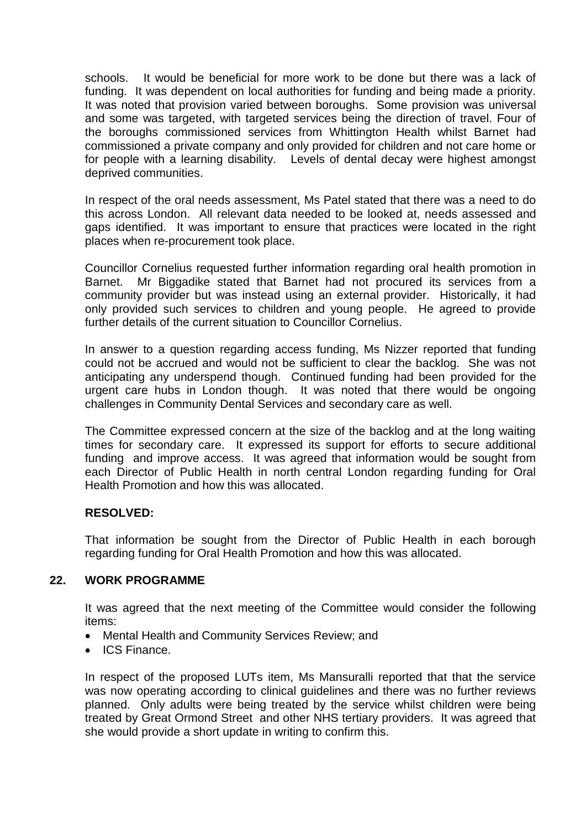schools. It would be beneficial for more work to be done but there was a lack of funding. It was dependent on local authorities for funding and being made a priority. It was noted that provision varied between boroughs. Some provision was universal and some was targeted, with targeted services being the direction of travel. Four of the boroughs commissioned services from Whittington Health whilst Barnet had commissioned a private company and only provided for children and not care home or for people with a learning disability. Levels of dental decay were highest amongst deprived communities.

In respect of the oral needs assessment, Ms Patel stated that there was a need to do this across London. All relevant data needed to be looked at, needs assessed and gaps identified. It was important to ensure that practices were located in the right places when re-procurement took place.

Councillor Cornelius requested further information regarding oral health promotion in Barnet. Mr Biggadike stated that Barnet had not procured its services from a community provider but was instead using an external provider. Historically, it had only provided such services to children and young people. He agreed to provide further details of the current situation to Councillor Cornelius.

In answer to a question regarding access funding, Ms Nizzer reported that funding could not be accrued and would not be sufficient to clear the backlog. She was not anticipating any underspend though. Continued funding had been provided for the urgent care hubs in London though. It was noted that there would be ongoing challenges in Community Dental Services and secondary care as well.

The Committee expressed concern at the size of the backlog and at the long waiting times for secondary care. It expressed its support for efforts to secure additional funding and improve access. It was agreed that information would be sought from each Director of Public Health in north central London regarding funding for Oral Health Promotion and how this was allocated.

# **RESOLVED:**

That information be sought from the Director of Public Health in each borough regarding funding for Oral Health Promotion and how this was allocated.

# **22. WORK PROGRAMME**

It was agreed that the next meeting of the Committee would consider the following items:

- Mental Health and Community Services Review; and
- ICS Finance.

In respect of the proposed LUTs item, Ms Mansuralli reported that that the service was now operating according to clinical guidelines and there was no further reviews planned. Only adults were being treated by the service whilst children were being treated by Great Ormond Street and other NHS tertiary providers. It was agreed that she would provide a short update in writing to confirm this.